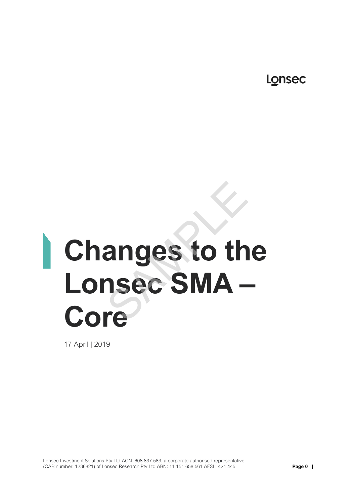Lonsec

# **Changes to the Lonsec SMA – Core**  anges to the<br>
sec SMA -<br>
re

17 April | 2019

Lonsec Investment Solutions Pty Ltd ACN: 608 837 583, a corporate authorised representative (CAR number: 1236821) of Lonsec Research Pty Ltd ABN: 11 151 658 561 AFSL: 421 445 **Page 0 |**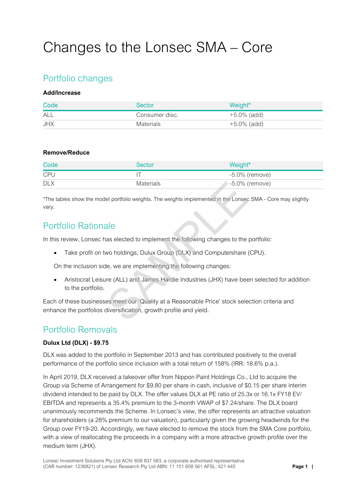## Changes to the Lonsec SMA – Core

## Portfolio changes

#### **Add/Increase**

| Code       | Sector         | Weight*        |
|------------|----------------|----------------|
| <b>ALL</b> | Consumer disc. | $+5.0\%$ (add) |
| <b>JHX</b> | Materials      | +5.0% (add)    |

#### **Remove/Reduce**

| Code       | Sector           | Weight*           |
|------------|------------------|-------------------|
| <b>CPU</b> |                  | $-5.0\%$ (remove) |
| <b>DLX</b> | <b>Materials</b> | $-5.0\%$ (remove) |

\*The tables show the model portfolio weights. The weights implemented in the Lonsec SMA - Core may slightly vary.

### Portfolio Rationale

In this review, Lonsec has elected to implement the following changes to the portfolio:

• Take profit on two holdings, Dulux Group (DLX) and Computershare (CPU).

On the inclusion side, we are implementing the following changes:

 Aristocrat Leisure (ALL) and James Hardie Industries (JHX) have been selected for addition to the portfolio. Materials 35 -5.0% (<br>
El portfolio weights. The weights implemented in the Lonsed<br>
Ale<br>
as elected to implement the following changes to the<br>
wo holdings, Dulux Group (DLX) and Computershare<br>
le, we are implementing the fo

Each of these businesses meet our 'Quality at a Reasonable Price' stock selection criteria and enhance the portfolios diversification, growth profile and yield.

## Portfolio Removals

#### **Dulux Ltd (DLX) - \$9.75**

DLX was added to the portfolio in September 2013 and has contributed positively to the overall performance of the portfolio since inclusion with a total return of 158% (IRR: 18.6% p.a.).

In April 2019, DLX received a takeover offer from Nippon Paint Holdings Co., Ltd to acquire the Group via Scheme of Arrangement for \$9.80 per share in cash, inclusive of \$0.15 per share interim dividend intended to be paid by DLX. The offer values DLX at PE ratio of 25.3x or 16.1x FY18 EV/ EBITDA and represents a 35.4% premium to the 3-month VWAP of \$7.24/share. The DLX board unanimously recommends the Scheme. In Lonsec's view, the offer represents an attractive valuation for shareholders (a 28% premium to our valuation), particularly given the growing headwinds for the Group over FY19-20. Accordingly, we have elected to remove the stock from the SMA Core portfolio, with a view of reallocating the proceeds in a company with a more attractive growth profile over the medium term (JHX).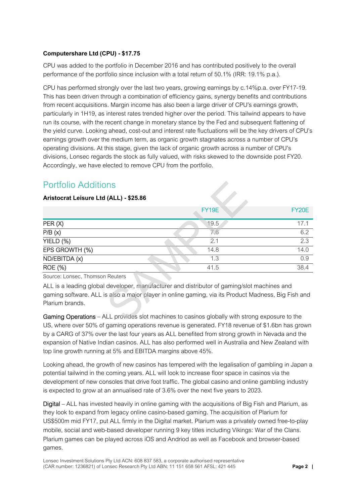#### **Computershare Ltd (CPU) - \$17.75**

CPU was added to the portfolio in December 2016 and has contributed positively to the overall performance of the portfolio since inclusion with a total return of 50.1% (IRR: 19.1% p.a.).

CPU has performed strongly over the last two years, growing earnings by c.14%p.a. over FY17-19. This has been driven through a combination of efficiency gains, synergy benefits and contributions from recent acquisitions. Margin income has also been a large driver of CPU's earnings growth, particularly in 1H19, as interest rates trended higher over the period. This tailwind appears to have run its course, with the recent change in monetary stance by the Fed and subsequent flattening of the yield curve. Looking ahead, cost-out and interest rate fluctuations will be the key drivers of CPU's earnings growth over the medium term, as organic growth stagnates across a number of CPU's operating divisions. At this stage, given the lack of organic growth across a number of CPU's divisions, Lonsec regards the stock as fully valued, with risks skewed to the downside post FY20. Accordingly, we have elected to remove CPU from the portfolio.

## Portfolio Additions

#### **Aristocrat Leisure Ltd (ALL) - \$25.86**

| <b>Portfolio Additions</b>                                                                                                                                                                                            |       |       |  |  |
|-----------------------------------------------------------------------------------------------------------------------------------------------------------------------------------------------------------------------|-------|-------|--|--|
| Aristocrat Leisure Ltd (ALL) - \$25.86                                                                                                                                                                                |       |       |  |  |
|                                                                                                                                                                                                                       | FY19E | FY20E |  |  |
| PER(X)                                                                                                                                                                                                                | 19.5  | 17.1  |  |  |
| P/B(x)                                                                                                                                                                                                                | 7.6   | 6.2   |  |  |
| YIELD (%)                                                                                                                                                                                                             | 2.1   | 2.3   |  |  |
| EPS GROWTH (%)                                                                                                                                                                                                        | 14.8  | 14.0  |  |  |
| ND/EBITDA (x)                                                                                                                                                                                                         | 1.3   | 0.9   |  |  |
| <b>ROE</b> (%)                                                                                                                                                                                                        | 41.5  | 38.4  |  |  |
| Source: Lonsec, Thomson Reuters                                                                                                                                                                                       |       |       |  |  |
| ALL is a leading global developer, manufacturer and distributor of gaming/slot machines and<br>gaming software. ALL is also a major player in online gaming, via its Product Madness, Big Fish and<br>Plarium brands. |       |       |  |  |
| Gaming Operations – ALL provides slot machines to casinos globally with strong exposure to the                                                                                                                        |       |       |  |  |

Gaming Operations – ALL provides slot machines to casinos globally with strong exposure to the US, where over 50% of gaming operations revenue is generated. FY18 revenue of \$1.6bn has grown by a CARG of 37% over the last four years as ALL benefited from strong growth in Nevada and the expansion of Native Indian casinos. ALL has also performed well in Australia and New Zealand with top line growth running at 5% and EBITDA margins above 45%.

Looking ahead, the growth of new casinos has tempered with the legalisation of gambling in Japan a potential tailwind in the coming years. ALL will look to increase floor space in casinos via the development of new consoles that drive foot traffic. The global casino and online gambling industry is expected to grow at an annualised rate of 3.6% over the next five years to 2023.

Digital – ALL has invested heavily in online gaming with the acquisitions of Big Fish and Plarium, as they look to expand from legacy online casino-based gaming. The acquisition of Plarium for US\$500m mid FY17, put ALL firmly in the Digital market. Plarium was a privately owned free-to-play mobile, social and web-based developer running 9 key titles including Vikings: War of the Clans. Plarium games can be played across iOS and Andriod as well as Facebook and browser-based games.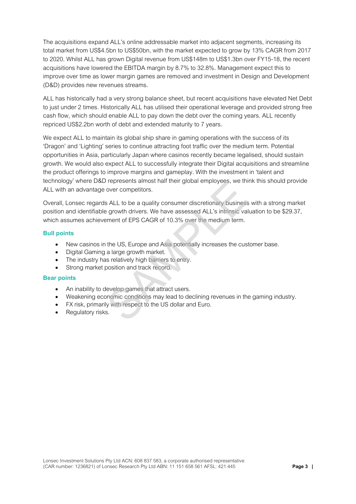The acquisitions expand ALL's online addressable market into adjacent segments, increasing its total market from US\$4.5bn to US\$50bn, with the market expected to grow by 13% CAGR from 2017 to 2020. Whilst ALL has grown Digital revenue from US\$148m to US\$1.3bn over FY15-18, the recent acquisitions have lowered the EBITDA margin by 8.7% to 32.8%. Management expect this to improve over time as lower margin games are removed and investment in Design and Development (D&D) provides new revenues streams.

ALL has historically had a very strong balance sheet, but recent acquisitions have elevated Net Debt to just under 2 times. Historically ALL has utilised their operational leverage and provided strong free cash flow, which should enable ALL to pay down the debt over the coming years. ALL recently repriced US\$2.2bn worth of debt and extended maturity to 7 years.

We expect ALL to maintain its global ship share in gaming operations with the success of its 'Dragon' and 'Lighting' series to continue attracting foot traffic over the medium term. Potential opportunities in Asia, particularly Japan where casinos recently became legalised, should sustain growth. We would also expect ALL to successfully integrate their Digital acquisitions and streamline the product offerings to improve margins and gameplay. With the investment in 'talent and technology' where D&D represents almost half their global employees, we think this should provide ALL with an advantage over competitors.

Overall, Lonsec regards ALL to be a quality consumer discretionary business with a strong market position and identifiable growth drivers. We have assessed ALL's intrinsic valuation to be \$29.37, which assumes achievement of EPS CAGR of 10.3% over the medium term. represents almost nan their global employees, we the<br>over competitors.<br>SALL to be a quality consumer discretionary business<br>growth drivers. We have assessed ALL's intrinsic values<br>almost of EPS CAGR of 10.3% over the mediu

#### **Bull points**

- New casinos in the US, Europe and Asia potentially increases the customer base.
- Digital Gaming a large growth market.
- The industry has relatively high barriers to entry.
- Strong market position and track record.

#### **Bear points**

- An inability to develop games that attract users.
- Weakening economic conditions may lead to declining revenues in the gaming industry.
- FX risk, primarily with respect to the US dollar and Euro.
- Regulatory risks.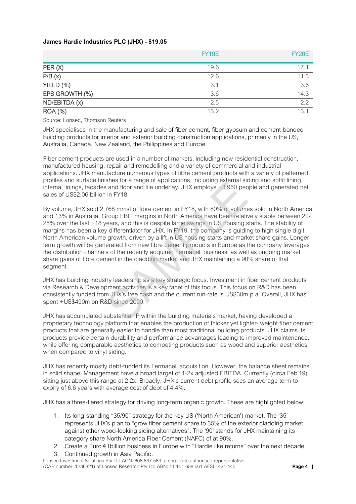#### **James Hardie Industries PLC (JHX) - \$19.05**

|                | <b>FY19E</b> | <b>FY20E</b> |
|----------------|--------------|--------------|
| PER(X)         | 19.6         | 17.1         |
| P/B(x)         | 12.6         | 11.3         |
| $YIELD (\%)$   | 3.1          | 3.6          |
| EPS GROWTH (%) | 3.6          | 14.3         |
| ND/EBITDA (x)  | 2.5          | 2.2          |
| <b>ROA (%)</b> | 13.2         | 13.1         |

Source: Lonsec, Thomson Reuters

JHX specialises in the manufacturing and sale of fiber cement, fiber gypsum and cement-bonded building products for interior and exterior building construction applications, primarily in the US, Australia, Canada, New Zealand, the Philippines and Europe.

Fiber cement products are used in a number of markets, including new residential construction, manufactured housing, repair and remodelling and a variety of commercial and industrial applications. JHX manufacture numerous types of fibre cement products with a variety of patterned profiles and surface finishes for a range of applications, including external siding and soffit lining, internal linings, facades and floor and tile underlay. JHX employs ~3,960 people and generated net sales of US\$2.06 billion in FY18.

By volume, JHX sold 2,768 mmsf of fibre cement in FY18, with 80% of volumes sold in North America and 13% in Australia. Group EBIT margins in North America have been relatively stable between 20- 25% over the last ~18 years, and this is despite large swings in US housing starts. The stability of margins has been a key differentiator for JHX. In FY19, the company is guiding to high single digit North American volume growth, driven by a lift in US housing starts and market share gains. Longer term growth will be generated from new fibre cement products in Europe as the company leverages the distribution channels of the recently acquired Fermacell business, as well as ongoing market share gains of fibre cement in the cladding market and JHX maintaining a 90% share of that segment. shes for a range of applications, including external skits and floor and tile underlay. JHX employs ~3,960 ped<br>in FY18.<br>T68 mmsf of fibre cernent in FY18, with 80% of volume<br>froup EBIT margins in North America have been re

JHX has building industry leadership as a key strategic focus. Investment in fiber cement products via Research & Development activities is a key facet of this focus. This focus on R&D has been consistently funded from JHX's free cash and the current run-rate is US\$30m p.a. Overall, JHX has spent +US\$490m on R&D since 2000.

JHX has accumulated substantial IP within the building materials market, having developed a proprietary technology platform that enables the production of thicker yet lighter- weight fiber cement products that are generally easier to handle than most traditional building products. JHX claims its products provide certain durability and performance advantages leading to improved maintenance, while offering comparable aesthetics to competing products such as wood and superior aesthetics when compared to vinyl siding.

JHX has recently mostly debt-funded its Fermacell acquisition. However, the balance sheet remains in solid shape. Management have a broad target of 1-2x adjusted EBITDA. Currently (circa Feb'19) sitting just above this range at 2.2x. Broadly, JHX's current debt profile sees an average term to expiry of 6.6 years with average cost of debt of 4.4%.

JHX has a three-tiered strategy for driving long-term organic growth. These are highlighted below:

- 1. Its long-standing "35/90" strategy for the key US ('North American') market. The '35' represents JHX's plan to "grow fiber cement share to 35% of the exterior cladding market against other wood-looking siding alternatives". The '90' stands for JHX maintaining its category share North America Fiber Cement (NAFC) of at 90%.
- 2. Create a Euro €1billion business in Europe with "Hardie like returns" over the next decade.
- 3. Continued growth in Asia Pacific.

Lonsec Investment Solutions Pty Ltd ACN: 608 837 583, a corporate authorised representative (CAR number: 1236821) of Lonsec Research Pty Ltd ABN: 11 151 658 561 AFSL: 421 445 **Page 4 |**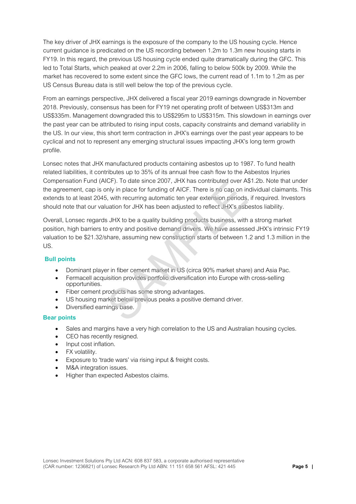The key driver of JHX earnings is the exposure of the company to the US housing cycle. Hence current guidance is predicated on the US recording between 1.2m to 1.3m new housing starts in FY19. In this regard, the previous US housing cycle ended quite dramatically during the GFC. This led to Total Starts, which peaked at over 2.2m in 2006, falling to below 500k by 2009. While the market has recovered to some extent since the GFC lows, the current read of 1.1m to 1.2m as per US Census Bureau data is still well below the top of the previous cycle.

From an earnings perspective, JHX delivered a fiscal year 2019 earnings downgrade in November 2018. Previously, consensus has been for FY19 net operating profit of between US\$313m and US\$335m. Management downgraded this to US\$295m to US\$315m. This slowdown in earnings over the past year can be attributed to rising input costs, capacity constraints and demand variability in the US. In our view, this short term contraction in JHX's earnings over the past year appears to be cyclical and not to represent any emerging structural issues impacting JHX's long term growth profile.

Lonsec notes that JHX manufactured products containing asbestos up to 1987. To fund health related liabilities, it contributes up to 35% of its annual free cash flow to the Asbestos Injuries Compensation Fund (AICF). To date since 2007, JHX has contributed over A\$1.2b. Note that under the agreement, cap is only in place for funding of AICF. There is no cap on individual claimants. This extends to at least 2045, with recurring automatic ten year extension periods, if required. Investors should note that our valuation for JHX has been adjusted to reflect JHX's asbestos liability.

Overall, Lonsec regards JHX to be a quality building products business, with a strong market position, high barriers to entry and positive demand drivers. We have assessed JHX's intrinsic FY19 valuation to be \$21.32/share, assuming new construction starts of between 1.2 and 1.3 million in the US. ICF). To date since 2007, JHX has continuated over As<br>in the place for funding of AICF. There is no cap on in<br>i, with recurring automatic ten year extension periods,<br>uation for JHX has been adjusted to reflect JHX's asb<br>s

#### **Bull points**

- Dominant player in fiber cement market in US (circa 90% market share) and Asia Pac.
- Fermacell acquisition provides portfolio diversification into Europe with cross-selling opportunities.
- Fiber cement products has some strong advantages.
- US housing market below previous peaks a positive demand driver.
- Diversified earnings base.

#### **Bear points**

- Sales and margins have a very high correlation to the US and Australian housing cycles.
- CEO has recently resigned.
- Input cost inflation.
- FX volatility.
- Exposure to 'trade wars' via rising input & freight costs.
- M&A integration issues.
- Higher than expected Asbestos claims.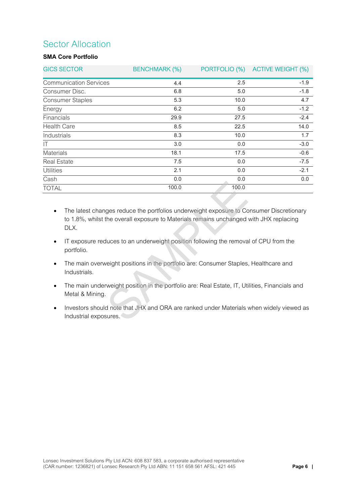## Sector Allocation

#### **SMA Core Portfolio**

| <b>GICS SECTOR</b>            | <b>BENCHMARK (%)</b> |       | PORTFOLIO (%) ACTIVE WEIGHT (%) |
|-------------------------------|----------------------|-------|---------------------------------|
| <b>Communication Services</b> | 4.4                  | 2.5   | $-1.9$                          |
| Consumer Disc.                | 6.8                  | 5.0   | $-1.8$                          |
| <b>Consumer Staples</b>       | 5.3                  | 10.0  | 4.7                             |
| Energy                        | 6.2                  | 5.0   | $-1.2$                          |
| Financials                    | 29.9                 | 27.5  | $-2.4$                          |
| <b>Health Care</b>            | 8.5                  | 22.5  | 14.0                            |
| Industrials                   | 8.3                  | 10.0  | 1.7                             |
| $\mathsf{I}$                  | 3.0                  | 0.0   | $-3.0$                          |
| <b>Materials</b>              | 18.1                 | 17.5  | $-0.6$                          |
| <b>Real Estate</b>            | 7.5                  | 0.0   | $-7.5$                          |
| <b>Utilities</b>              | 2.1                  | 0.0   | $-2.1$                          |
| Cash                          | 0.0                  | 0.0   | 0.0                             |
| <b>TOTAL</b>                  | 100.0                | 100.0 |                                 |

- The latest changes reduce the portfolios underweight exposure to Consumer Discretionary to 1.8%, whilst the overall exposure to Materials remains unchanged with JHX replacing DLX. 100.0<br>100.0<br>100.0<br>100.0<br>100.0<br>100.0<br>100.0<br>100.0<br>100.0<br>100.0<br>100.0<br>100.0<br>100.0<br>100.0<br>100.0<br>100.0<br>100.0<br>100.0<br>100.0<br>100.0<br>100.0<br>100.0<br>100.0<br>100.0<br>100.0<br>100.0<br>100.0<br>100.0<br>100.0<br>100.0<br>100.0<br>100.0<br>100.0<br>100.0<br>100.0<br>100.0<br>100.0<br>
- IT exposure reduces to an underweight position following the removal of CPU from the portfolio.
- The main overweight positions in the portfolio are: Consumer Staples, Healthcare and Industrials.
- The main underweight position in the portfolio are: Real Estate, IT, Utilities, Financials and Metal & Mining.
- Investors should note that JHX and ORA are ranked under Materials when widely viewed as Industrial exposures.